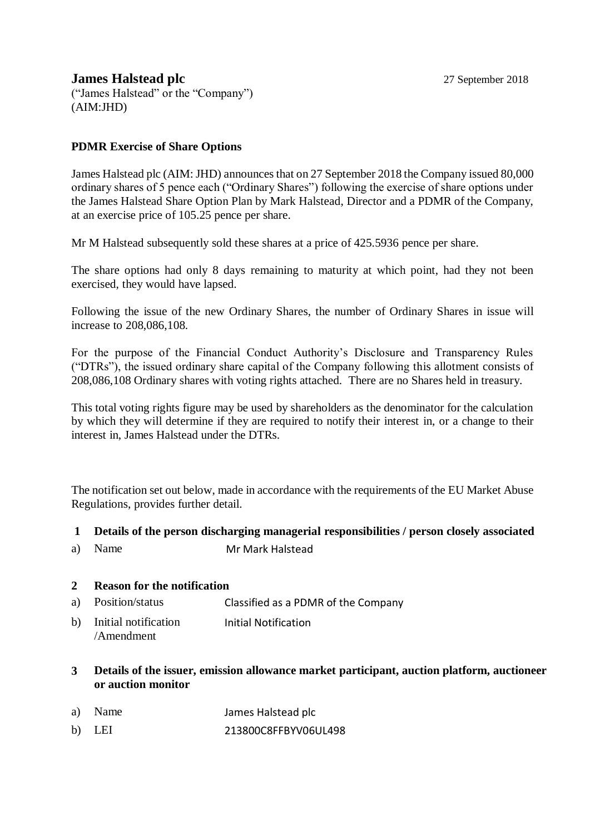## **James Halstead plc** 27 September 2018

("James Halstead" or the "Company") (AIM:JHD)

## **PDMR Exercise of Share Options**

James Halstead plc (AIM: JHD) announces that on 27 September 2018 the Company issued 80,000 ordinary shares of 5 pence each ("Ordinary Shares") following the exercise of share options under the James Halstead Share Option Plan by Mark Halstead, Director and a PDMR of the Company, at an exercise price of 105.25 pence per share.

Mr M Halstead subsequently sold these shares at a price of 425.5936 pence per share.

The share options had only 8 days remaining to maturity at which point, had they not been exercised, they would have lapsed.

Following the issue of the new Ordinary Shares, the number of Ordinary Shares in issue will increase to 208,086,108.

For the purpose of the Financial Conduct Authority's Disclosure and Transparency Rules ("DTRs"), the issued ordinary share capital of the Company following this allotment consists of 208,086,108 Ordinary shares with voting rights attached. There are no Shares held in treasury.

This total voting rights figure may be used by shareholders as the denominator for the calculation by which they will determine if they are required to notify their interest in, or a change to their interest in, James Halstead under the DTRs.

The notification set out below, made in accordance with the requirements of the EU Market Abuse Regulations, provides further detail.

## **1 Details of the person discharging managerial responsibilities / person closely associated**

a) Name Mr Mark Halstead

## **2 Reason for the notification**

- a) Position/status Classified as a PDMR of the Company
- b) Initial notification /Amendment Initial Notification
- **3 Details of the issuer, emission allowance market participant, auction platform, auctioneer or auction monitor**
- a) Name James Halstead plc
- b) LEI 213800C8FFBYV06UL498